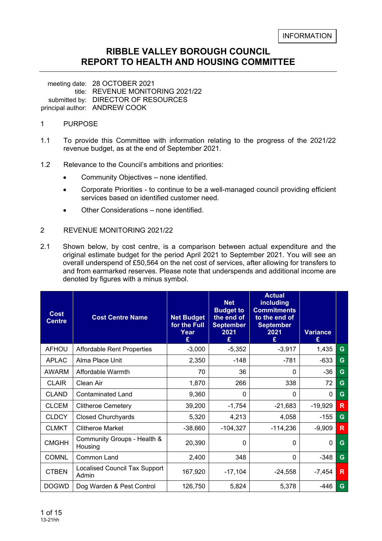#### **RIBBLE VALLEY BOROUGH COUNCIL REPORT TO HEALTH AND HOUSING COMMITTEE**

meeting date: 28 OCTOBER 2021 title: REVENUE MONITORING 2021/22 submitted by: DIRECTOR OF RESOURCES principal author: ANDREW COOK

#### 1 PURPOSE

- 1.1 To provide this Committee with information relating to the progress of the 2021/22 revenue budget, as at the end of September 2021.
- 1.2 Relevance to the Council's ambitions and priorities:
	- Community Objectives none identified.
	- Corporate Priorities to continue to be a well-managed council providing efficient services based on identified customer need.
	- Other Considerations none identified.

#### 2 REVENUE MONITORING 2021/22

2.1 Shown below, by cost centre, is a comparison between actual expenditure and the original estimate budget for the period April 2021 to September 2021. You will see an overall underspend of £50,564 on the net cost of services, after allowing for transfers to and from earmarked reserves. Please note that underspends and additional income are denoted by figures with a minus symbol.

| <b>Cost</b><br><b>Centre</b> | <b>Cost Centre Name</b>                | <b>Net Budget</b><br>for the Full<br>Year<br>£ | <b>Net</b><br><b>Budget to</b><br>the end of<br><b>September</b><br>2021<br>£ | <b>Actual</b><br>including<br><b>Commitments</b><br>to the end of<br><b>September</b><br>2021<br>£ | <b>Variance</b><br>£ |   |
|------------------------------|----------------------------------------|------------------------------------------------|-------------------------------------------------------------------------------|----------------------------------------------------------------------------------------------------|----------------------|---|
| <b>AFHOU</b>                 | <b>Affordable Rent Properties</b>      | $-3,000$                                       | $-5,352$                                                                      | $-3,917$                                                                                           | 1,435                | G |
| <b>APLAC</b>                 | Alma Place Unit                        | 2,350                                          | -148                                                                          | -781                                                                                               | $-633$               | G |
| <b>AWARM</b>                 | Affordable Warmth                      | 70                                             | 36                                                                            | $\Omega$                                                                                           | $-36$                | G |
| <b>CLAIR</b>                 | Clean Air                              | 1,870                                          | 266                                                                           | 338                                                                                                | 72                   | G |
| <b>CLAND</b>                 | <b>Contaminated Land</b>               | 9,360                                          | 0                                                                             | $\Omega$                                                                                           | $\mathbf{0}$         | G |
| <b>CLCEM</b>                 | <b>Clitheroe Cemetery</b>              | 39,200                                         | $-1,754$                                                                      | $-21,683$                                                                                          | $-19,929$            | R |
| <b>CLDCY</b>                 | <b>Closed Churchyards</b>              | 5,320                                          | 4,213                                                                         | 4,058                                                                                              | $-155$               | G |
| <b>CLMKT</b>                 | <b>Clitheroe Market</b>                | $-38,660$                                      | $-104,327$                                                                    | $-114,236$                                                                                         | $-9,909$             | R |
| <b>CMGHH</b>                 | Community Groups - Health &<br>Housing | 20,390                                         | 0                                                                             | $\Omega$                                                                                           | $\mathbf{0}$         | G |
| <b>COMNL</b>                 | Common Land                            | 2,400                                          | 348                                                                           | $\Omega$                                                                                           | $-348$               | G |
| <b>CTBEN</b>                 | Localised Council Tax Support<br>Admin | 167,920                                        | $-17,104$                                                                     | $-24,558$                                                                                          | $-7,454$             | R |
| <b>DOGWD</b>                 | Dog Warden & Pest Control              | 126,750                                        | 5,824                                                                         | 5,378                                                                                              | -446                 | G |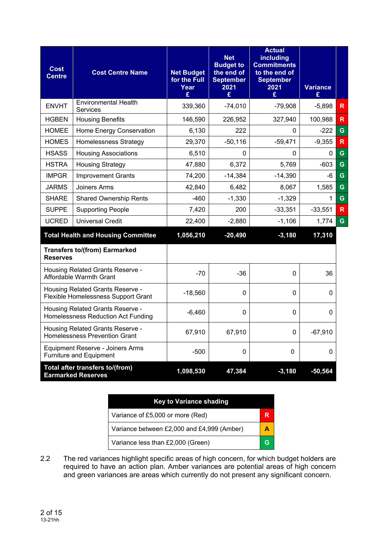| <b>Cost</b><br><b>Centre</b> | <b>Cost Centre Name</b>                                                  | <b>Net Budget</b><br>for the Full<br>Year<br>£ | <b>Net</b><br><b>Budget to</b><br>the end of<br><b>September</b><br>2021<br>£ | <b>Actual</b><br>including<br><b>Commitments</b><br>to the end of<br><b>September</b><br>2021<br>£ | <b>Variance</b><br>£ |                         |
|------------------------------|--------------------------------------------------------------------------|------------------------------------------------|-------------------------------------------------------------------------------|----------------------------------------------------------------------------------------------------|----------------------|-------------------------|
| <b>ENVHT</b>                 | <b>Environmental Health</b><br>Services                                  | 339,360                                        | $-74,010$                                                                     | $-79,908$                                                                                          | $-5,898$             | $\mathsf{R}$            |
| <b>HGBEN</b>                 | <b>Housing Benefits</b>                                                  | 146,590                                        | 226,952                                                                       | 327,940                                                                                            | 100,988              | $\mathsf{R}$            |
| <b>HOMEE</b>                 | Home Energy Conservation                                                 | 6,130                                          | 222                                                                           | 0                                                                                                  | -222                 | G                       |
| <b>HOMES</b>                 | <b>Homelessness Strategy</b>                                             | 29,370                                         | $-50,116$                                                                     | $-59,471$                                                                                          | $-9,355$             | $\overline{\mathsf{R}}$ |
| <b>HSASS</b>                 | <b>Housing Associations</b>                                              | 6,510                                          | $\Omega$                                                                      | 0                                                                                                  | 0                    | G                       |
| <b>HSTRA</b>                 | <b>Housing Strategy</b>                                                  | 47,880                                         | 6,372                                                                         | 5,769                                                                                              | $-603$               | G                       |
| <b>IMPGR</b>                 | <b>Improvement Grants</b>                                                | 74,200                                         | $-14,384$                                                                     | $-14,390$                                                                                          | -6                   | G                       |
| JARMS                        | Joiners Arms                                                             | 42,840                                         | 6,482                                                                         | 8,067                                                                                              | 1,585                | G                       |
| <b>SHARE</b>                 | <b>Shared Ownership Rents</b>                                            | $-460$                                         | $-1,330$                                                                      | $-1,329$                                                                                           | 1                    | $\mathbf G$             |
| <b>SUPPE</b>                 | <b>Supporting People</b>                                                 | 7,420                                          | 200                                                                           | $-33,351$                                                                                          | $-33,551$            | $\mathsf{R}$            |
| <b>UCRED</b>                 | <b>Universal Credit</b>                                                  | 22,400                                         | $-2,880$                                                                      | $-1,106$                                                                                           | 1,774                | G                       |
|                              | <b>Total Health and Housing Committee</b>                                | 1,056,210                                      | $-20,490$                                                                     | $-3,180$                                                                                           | 17,310               |                         |
| <b>Reserves</b>              | <b>Transfers to/(from) Earmarked</b>                                     |                                                |                                                                               |                                                                                                    |                      |                         |
|                              | Housing Related Grants Reserve -<br>Affordable Warmth Grant              | $-70$                                          | $-36$                                                                         | $\Omega$                                                                                           | 36                   |                         |
|                              | Housing Related Grants Reserve -<br>Flexible Homelessness Support Grant  | $-18,560$                                      | $\mathbf 0$                                                                   | $\Omega$                                                                                           | 0                    |                         |
|                              | Housing Related Grants Reserve -<br>Homelessness Reduction Act Funding   | $-6,460$                                       | $\Omega$                                                                      | $\Omega$                                                                                           | 0                    |                         |
|                              | Housing Related Grants Reserve -<br><b>Homelessness Prevention Grant</b> | 67,910                                         | 67,910                                                                        | 0                                                                                                  | $-67,910$            |                         |
|                              | Equipment Reserve - Joiners Arms<br><b>Furniture and Equipment</b>       | $-500$                                         | $\Omega$                                                                      | $\Omega$                                                                                           | 0                    |                         |
|                              | Total after transfers to/(from)<br><b>Earmarked Reserves</b>             | 1,098,530                                      | 47,384                                                                        | $-3,180$                                                                                           | $-50,564$            |                         |

| <b>Key to Variance shading</b>             |   |
|--------------------------------------------|---|
| Variance of £5,000 or more (Red)           | R |
| Variance between £2,000 and £4,999 (Amber) | А |
| Variance less than £2,000 (Green)          |   |

2.2 The red variances highlight specific areas of high concern, for which budget holders are required to have an action plan. Amber variances are potential areas of high concern and green variances are areas which currently do not present any significant concern.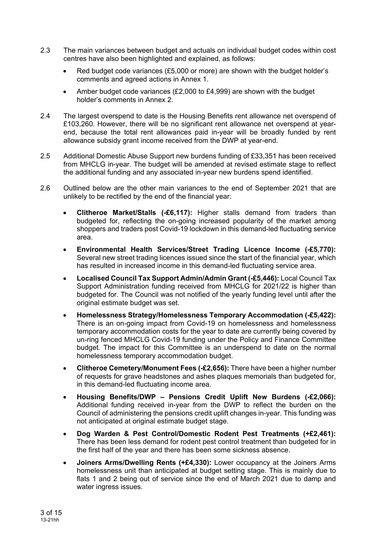- 2.3 The main variances between budget and actuals on individual budget codes within cost centres have also been highlighted and explained, as follows:
	- Red budget code variances (£5,000 or more) are shown with the budget holder's comments and agreed actions in Annex 1.
	- Amber budget code variances (£2,000 to £4,999) are shown with the budget holder's comments in Annex 2
- 2.4 The largest overspend to date is the Housing Benefits rent allowance net overspend of £103,260. However, there will be no significant rent allowance net overspend at yearend, because the total rent allowances paid in-year will be broadly funded by rent allowance subsidy grant income received from the DWP at year-end.
- 2.5 Additional Domestic Abuse Support new burdens funding of £33,351 has been received from MHCLG in-year. The budget will be amended at revised estimate stage to reflect the additional funding and any associated in-year new burdens spend identified.
- 2.6 Outlined below are the other main variances to the end of September 2021 that are unlikely to be rectified by the end of the financial year:
	- **Clitheroe Market/Stalls (-£6,117):** Higher stalls demand from traders than budgeted for, reflecting the on-going increased popularity of the market among shoppers and traders post Covid-19 lockdown in this demand-led fluctuating service area.
	- **Environmental Health Services/Street Trading Licence Income (-£5,770):**  Several new street trading licences issued since the start of the financial year, which has resulted in increased income in this demand-led fluctuating service area.
	- **Localised Council Tax Support Admin/Admin Grant (-£5,446):** Local Council Tax Support Administration funding received from MHCLG for 2021/22 is higher than budgeted for. The Council was not notified of the yearly funding level until after the original estimate budget was set.
	- **Homelessness Strategy/Homelessness Temporary Accommodation (-£5,422):** There is an on-going impact from Covid-19 on homelessness and homelessness temporary accommodation costs for the year to date are currently being covered by un-ring fenced MHCLG Covid-19 funding under the Policy and Finance Committee budget. The impact for this Committee is an underspend to date on the normal homelessness temporary accommodation budget.
	- **Clitheroe Cemetery/Monument Fees (-£2,656):** There have been a higher number of requests for grave headstones and ashes plaques memorials than budgeted for, in this demand-led fluctuating income area.
	- **Housing Benefits/DWP Pensions Credit Uplift New Burdens (-£2,066):** Additional funding received in-year from the DWP to reflect the burden on the Council of administering the pensions credit uplift changes in-year. This funding was not anticipated at original estimate budget stage.
	- **Dog Warden & Pest Control/Domestic Rodent Pest Treatments (+£2,461):** There has been less demand for rodent pest control treatment than budgeted for in the first half of the year and there has been some sickness absence.
	- **Joiners Arms/Dwelling Rents (+£4,330):** Lower occupancy at the Joiners Arms homelessness unit than anticipated at budget setting stage. This is mainly due to flats 1 and 2 being out of service since the end of March 2021 due to damp and water ingress issues.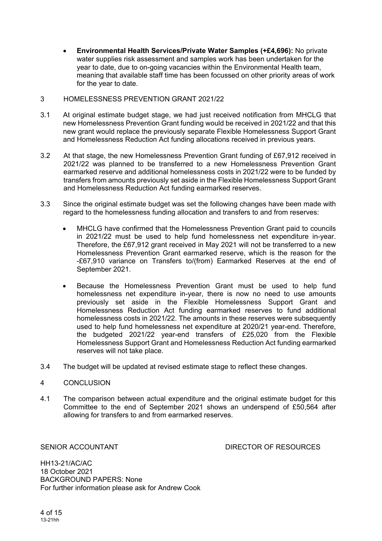**Environmental Health Services/Private Water Samples (+£4,696):** No private water supplies risk assessment and samples work has been undertaken for the year to date, due to on-going vacancies within the Environmental Health team, meaning that available staff time has been focussed on other priority areas of work for the year to date.

#### 3 HOMELESSNESS PREVENTION GRANT 2021/22

- 3.1 At original estimate budget stage, we had just received notification from MHCLG that new Homelessness Prevention Grant funding would be received in 2021/22 and that this new grant would replace the previously separate Flexible Homelessness Support Grant and Homelessness Reduction Act funding allocations received in previous years.
- 3.2 At that stage, the new Homelessness Prevention Grant funding of £67,912 received in 2021/22 was planned to be transferred to a new Homelessness Prevention Grant earmarked reserve and additional homelessness costs in 2021/22 were to be funded by transfers from amounts previously set aside in the Flexible Homelessness Support Grant and Homelessness Reduction Act funding earmarked reserves.
- 3.3 Since the original estimate budget was set the following changes have been made with regard to the homelessness funding allocation and transfers to and from reserves:
	- MHCLG have confirmed that the Homelessness Prevention Grant paid to councils in 2021/22 must be used to help fund homelessness net expenditure in-year. Therefore, the £67,912 grant received in May 2021 will not be transferred to a new Homelessness Prevention Grant earmarked reserve, which is the reason for the -£67,910 variance on Transfers to/(from) Earmarked Reserves at the end of September 2021.
	- Because the Homelessness Prevention Grant must be used to help fund homelessness net expenditure in-year, there is now no need to use amounts previously set aside in the Flexible Homelessness Support Grant and Homelessness Reduction Act funding earmarked reserves to fund additional homelessness costs in 2021/22. The amounts in these reserves were subsequently used to help fund homelessness net expenditure at 2020/21 year-end. Therefore, the budgeted 2021/22 year-end transfers of £25,020 from the Flexible Homelessness Support Grant and Homelessness Reduction Act funding earmarked reserves will not take place.
- 3.4 The budget will be updated at revised estimate stage to reflect these changes.

#### 4 CONCLUSION

4.1 The comparison between actual expenditure and the original estimate budget for this Committee to the end of September 2021 shows an underspend of £50,564 after allowing for transfers to and from earmarked reserves.

SENIOR ACCOUNTANT **EXECUTE:** DIRECTOR OF RESOURCES

HH13-21/AC/AC 18 October 2021 BACKGROUND PAPERS: None For further information please ask for Andrew Cook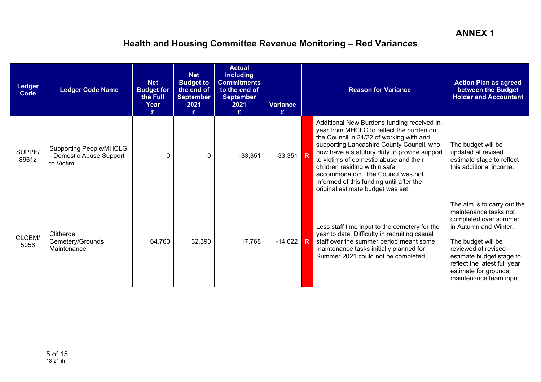| <b>Ledger</b><br><b>Code</b> | <b>Ledger Code Name</b>                                                 | <b>Net</b><br><b>Budget for</b><br>the Full<br>Year<br>£ | <b>Net</b><br><b>Budget to</b><br>the end of<br><b>September</b><br>2021<br>£ | <b>Actual</b><br><b>including</b><br><b>Commitments</b><br>to the end of<br><b>September</b><br>2021<br>£. | <b>Variance</b><br>£ |   | <b>Reason for Variance</b>                                                                                                                                                                                                                                                                                                                                                                                                         | <b>Action Plan as agreed</b><br>between the Budget<br><b>Holder and Accountant</b>                                                                                                                                                                                 |
|------------------------------|-------------------------------------------------------------------------|----------------------------------------------------------|-------------------------------------------------------------------------------|------------------------------------------------------------------------------------------------------------|----------------------|---|------------------------------------------------------------------------------------------------------------------------------------------------------------------------------------------------------------------------------------------------------------------------------------------------------------------------------------------------------------------------------------------------------------------------------------|--------------------------------------------------------------------------------------------------------------------------------------------------------------------------------------------------------------------------------------------------------------------|
| SUPPE/<br>8961z              | <b>Supporting People/MHCLG</b><br>- Domestic Abuse Support<br>to Victim | ∩                                                        | $\Omega$                                                                      | $-33,351$                                                                                                  | $-33,351$ R          |   | Additional New Burdens funding received in-<br>year from MHCLG to reflect the burden on<br>the Council in 21/22 of working with and<br>supporting Lancashire County Council, who<br>now have a statutory duty to provide support<br>to victims of domestic abuse and their<br>children residing within safe<br>accommodation. The Council was not<br>informed of this funding until after the<br>original estimate budget was set. | The budget will be<br>updated at revised<br>estimate stage to reflect<br>this additional income.                                                                                                                                                                   |
| CLCEM/<br>5056               | Clitheroe<br>Cemetery/Grounds<br>Maintenance                            | 64,760                                                   | 32,390                                                                        | 17,768                                                                                                     | $-14,622$            | R | Less staff time input to the cemetery for the<br>year to date. Difficulty in recruiting casual<br>staff over the summer period meant some<br>maintenance tasks initially planned for<br>Summer 2021 could not be completed.                                                                                                                                                                                                        | The aim is to carry out the<br>maintenance tasks not<br>completed over summer<br>in Autumn and Winter.<br>The budget will be<br>reviewed at revised<br>estimate budget stage to<br>reflect the latest full year<br>estimate for grounds<br>maintenance team input. |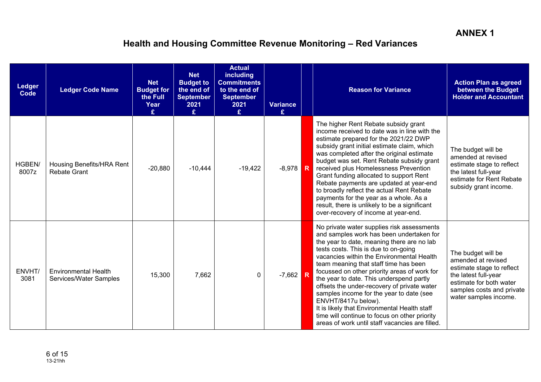| Ledger<br><b>Code</b> | <b>Ledger Code Name</b>                               | <b>Net</b><br><b>Budget for</b><br>the Full<br>Year<br>£ | <b>Net</b><br><b>Budget to</b><br>the end of<br><b>September</b><br>2021<br>£ | <b>Actual</b><br><b>including</b><br><b>Commitments</b><br>to the end of<br><b>September</b><br>2021<br>£. | <b>Variance</b><br>£ | <b>Reason for Variance</b>                                                                                                                                                                                                                                                                                                                                                                                                                                                                                                                                                                                                           | <b>Action Plan as agreed</b><br>between the Budget<br><b>Holder and Accountant</b>                                                                                             |
|-----------------------|-------------------------------------------------------|----------------------------------------------------------|-------------------------------------------------------------------------------|------------------------------------------------------------------------------------------------------------|----------------------|--------------------------------------------------------------------------------------------------------------------------------------------------------------------------------------------------------------------------------------------------------------------------------------------------------------------------------------------------------------------------------------------------------------------------------------------------------------------------------------------------------------------------------------------------------------------------------------------------------------------------------------|--------------------------------------------------------------------------------------------------------------------------------------------------------------------------------|
| HGBEN/<br>8007z       | Housing Benefits/HRA Rent<br><b>Rebate Grant</b>      | $-20,880$                                                | $-10,444$                                                                     | $-19,422$                                                                                                  | $-8,978$ R           | The higher Rent Rebate subsidy grant<br>income received to date was in line with the<br>estimate prepared for the 2021/22 DWP<br>subsidy grant initial estimate claim, which<br>was completed after the original estimate<br>budget was set. Rent Rebate subsidy grant<br>received plus Homelessness Prevention<br>Grant funding allocated to support Rent<br>Rebate payments are updated at year-end<br>to broadly reflect the actual Rent Rebate<br>payments for the year as a whole. As a<br>result, there is unlikely to be a significant<br>over-recovery of income at year-end.                                                | The budget will be<br>amended at revised<br>estimate stage to reflect<br>the latest full-year<br>estimate for Rent Rebate<br>subsidy grant income.                             |
| ENVHT/<br>3081        | <b>Environmental Health</b><br>Services/Water Samples | 15,300                                                   | 7,662                                                                         | 0                                                                                                          | $-7,662$ R           | No private water supplies risk assessments<br>and samples work has been undertaken for<br>the year to date, meaning there are no lab<br>tests costs. This is due to on-going<br>vacancies within the Environmental Health<br>team meaning that staff time has been<br>focussed on other priority areas of work for<br>the year to date. This underspend partly<br>offsets the under-recovery of private water<br>samples income for the year to date (see<br>ENVHT/8417u below).<br>It is likely that Environmental Health staff<br>time will continue to focus on other priority<br>areas of work until staff vacancies are filled. | The budget will be<br>amended at revised<br>estimate stage to reflect<br>the latest full-year<br>estimate for both water<br>samples costs and private<br>water samples income. |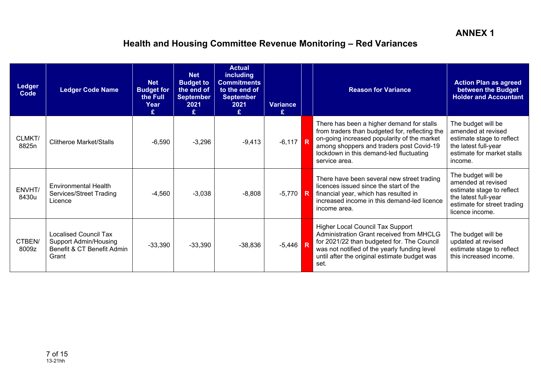| <b>Ledger</b><br>Code | <b>Ledger Code Name</b>                                                                      | <b>Net</b><br><b>Budget for</b><br>the Full<br>Year<br>£ | <b>Net</b><br><b>Budget to</b><br>the end of<br><b>September</b><br>2021<br>£ | <b>Actual</b><br><b>including</b><br><b>Commitments</b><br>to the end of<br><b>September</b><br>2021<br>£. | <b>Variance</b><br>£ | <b>Reason for Variance</b>                                                                                                                                                                                                                         | <b>Action Plan as agreed</b><br>between the Budget<br><b>Holder and Accountant</b>                                                              |
|-----------------------|----------------------------------------------------------------------------------------------|----------------------------------------------------------|-------------------------------------------------------------------------------|------------------------------------------------------------------------------------------------------------|----------------------|----------------------------------------------------------------------------------------------------------------------------------------------------------------------------------------------------------------------------------------------------|-------------------------------------------------------------------------------------------------------------------------------------------------|
| CLMKT/<br>8825n       | <b>Clitheroe Market/Stalls</b>                                                               | $-6,590$                                                 | $-3,296$                                                                      | $-9,413$                                                                                                   | $-6,117$ R           | There has been a higher demand for stalls<br>from traders than budgeted for, reflecting the<br>on-going increased popularity of the market<br>among shoppers and traders post Covid-19<br>lockdown in this demand-led fluctuating<br>service area. | The budget will be<br>amended at revised<br>estimate stage to reflect<br>the latest full-year<br>estimate for market stalls<br>income.          |
| ENVHT/<br>8430u       | <b>Environmental Health</b><br>Services/Street Trading<br>Licence                            | $-4,560$                                                 | $-3,038$                                                                      | $-8,808$                                                                                                   | $-5,770$ R           | There have been several new street trading<br>licences issued since the start of the<br>financial year, which has resulted in<br>increased income in this demand-led licence<br>income area.                                                       | The budget will be<br>amended at revised<br>estimate stage to reflect<br>the latest full-year<br>estimate for street trading<br>licence income. |
| CTBEN/<br>8009z       | Localised Council Tax<br><b>Support Admin/Housing</b><br>Benefit & CT Benefit Admin<br>Grant | $-33,390$                                                | $-33,390$                                                                     | $-38,836$                                                                                                  | $-5,446$             | Higher Local Council Tax Support<br>Administration Grant received from MHCLG<br>for 2021/22 than budgeted for. The Council<br>was not notified of the yearly funding level<br>until after the original estimate budget was<br>set.                 | The budget will be<br>updated at revised<br>estimate stage to reflect<br>this increased income.                                                 |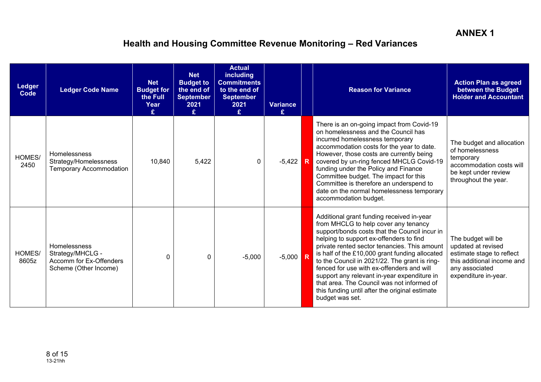| <b>Ledger</b><br>Code | <b>Ledger Code Name</b>                                                              | <b>Net</b><br><b>Budget for</b><br>the Full<br>Year<br>£. | <b>Net</b><br><b>Budget to</b><br>the end of<br><b>September</b><br>2021<br>£ | <b>Actual</b><br><b>including</b><br><b>Commitments</b><br>to the end of<br><b>September</b><br>2021<br>£. | <b>Variance</b><br>£ | <b>Reason for Variance</b>                                                                                                                                                                                                                                                                                                                                                                                                                                                                                                                      | <b>Action Plan as agreed</b><br>between the Budget<br><b>Holder and Accountant</b>                                                            |
|-----------------------|--------------------------------------------------------------------------------------|-----------------------------------------------------------|-------------------------------------------------------------------------------|------------------------------------------------------------------------------------------------------------|----------------------|-------------------------------------------------------------------------------------------------------------------------------------------------------------------------------------------------------------------------------------------------------------------------------------------------------------------------------------------------------------------------------------------------------------------------------------------------------------------------------------------------------------------------------------------------|-----------------------------------------------------------------------------------------------------------------------------------------------|
| HOMES/<br>2450        | Homelessness<br>Strategy/Homelessness<br><b>Temporary Accommodation</b>              | 10,840                                                    | 5,422                                                                         | $\mathbf{0}$                                                                                               | $-5,422$ R           | There is an on-going impact from Covid-19<br>on homelessness and the Council has<br>incurred homelessness temporary<br>accommodation costs for the year to date.<br>However, those costs are currently being<br>covered by un-ring fenced MHCLG Covid-19<br>funding under the Policy and Finance<br>Committee budget. The impact for this<br>Committee is therefore an underspend to<br>date on the normal homelessness temporary<br>accommodation budget.                                                                                      | The budget and allocation<br>of homelessness<br>temporary<br>accommodation costs will<br>be kept under review<br>throughout the year.         |
| HOMES/<br>8605z       | Homelessness<br>Strategy/MHCLG -<br>Accomm for Ex-Offenders<br>Scheme (Other Income) | $\Omega$                                                  | 0                                                                             | $-5,000$                                                                                                   | $-5,000$ R           | Additional grant funding received in-year<br>from MHCLG to help cover any tenancy<br>support/bonds costs that the Council incur in<br>helping to support ex-offenders to find<br>private rented sector tenancies. This amount<br>is half of the £10,000 grant funding allocated<br>to the Council in 2021/22. The grant is ring-<br>fenced for use with ex-offenders and will<br>support any relevant in-year expenditure in<br>that area. The Council was not informed of<br>this funding until after the original estimate<br>budget was set. | The budget will be<br>updated at revised<br>estimate stage to reflect<br>this additional income and<br>any associated<br>expenditure in-year. |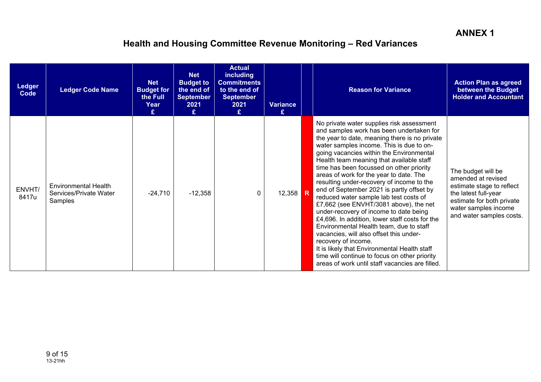| <b>Ledger</b><br>Code | <b>Ledger Code Name</b>                                          | <b>Net</b><br><b>Budget for</b><br>the Full<br>Year<br>£ | <b>Net</b><br><b>Budget to</b><br>the end of<br><b>September</b><br>2021<br>£ | <b>Actual</b><br><b>including</b><br><b>Commitments</b><br>to the end of<br><b>September</b><br>2021<br>£. | <b>Variance</b><br>£ | <b>Reason for Variance</b>                                                                                                                                                                                                                                                                                                                                                                                                                                                                                                                                                                                                                                                                                                                                                                                                                                                                                   | <b>Action Plan as agreed</b><br>between the Budget<br><b>Holder and Accountant</b>                                                                                             |
|-----------------------|------------------------------------------------------------------|----------------------------------------------------------|-------------------------------------------------------------------------------|------------------------------------------------------------------------------------------------------------|----------------------|--------------------------------------------------------------------------------------------------------------------------------------------------------------------------------------------------------------------------------------------------------------------------------------------------------------------------------------------------------------------------------------------------------------------------------------------------------------------------------------------------------------------------------------------------------------------------------------------------------------------------------------------------------------------------------------------------------------------------------------------------------------------------------------------------------------------------------------------------------------------------------------------------------------|--------------------------------------------------------------------------------------------------------------------------------------------------------------------------------|
| ENVHT/<br>8417u       | <b>Environmental Health</b><br>Services/Private Water<br>Samples | $-24,710$                                                | $-12,358$                                                                     | $\mathbf{0}$                                                                                               | 12,358 R             | No private water supplies risk assessment<br>and samples work has been undertaken for<br>the year to date, meaning there is no private<br>water samples income. This is due to on-<br>going vacancies within the Environmental<br>Health team meaning that available staff<br>time has been focussed on other priority<br>areas of work for the year to date. The<br>resulting under-recovery of income to the<br>end of September 2021 is partly offset by<br>reduced water sample lab test costs of<br>£7,662 (see ENVHT/3081 above), the net<br>under-recovery of income to date being<br>£4,696. In addition, lower staff costs for the<br>Environmental Health team, due to staff<br>vacancies, will also offset this under-<br>recovery of income.<br>It is likely that Environmental Health staff<br>time will continue to focus on other priority<br>areas of work until staff vacancies are filled. | The budget will be<br>amended at revised<br>estimate stage to reflect<br>the latest full-year<br>estimate for both private<br>water samples income<br>and water samples costs. |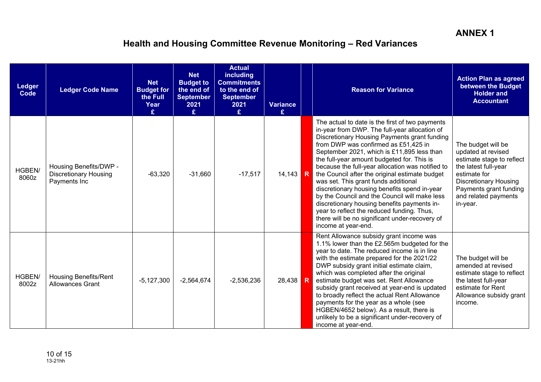| Ledger<br>Code  | <b>Ledger Code Name</b>                                                | <b>Net</b><br><b>Budget for</b><br>the Full<br>Year<br>£ | <b>Net</b><br><b>Budget to</b><br>the end of<br><b>September</b><br>2021<br>£ | <b>Actual</b><br><b>including</b><br><b>Commitments</b><br>to the end of<br><b>September</b><br>2021<br>£ | <b>Variance</b><br>£ | <b>Reason for Variance</b>                                                                                                                                                                                                                                                                                                                                                                                                                                                                                                                                                                                                                                                                                | <b>Action Plan as agreed</b><br>between the Budget<br><b>Holder and</b><br><b>Accountant</b>                                                                                                                |
|-----------------|------------------------------------------------------------------------|----------------------------------------------------------|-------------------------------------------------------------------------------|-----------------------------------------------------------------------------------------------------------|----------------------|-----------------------------------------------------------------------------------------------------------------------------------------------------------------------------------------------------------------------------------------------------------------------------------------------------------------------------------------------------------------------------------------------------------------------------------------------------------------------------------------------------------------------------------------------------------------------------------------------------------------------------------------------------------------------------------------------------------|-------------------------------------------------------------------------------------------------------------------------------------------------------------------------------------------------------------|
| HGBEN/<br>8060z | Housing Benefits/DWP -<br><b>Discretionary Housing</b><br>Payments Inc | $-63,320$                                                | $-31,660$                                                                     | $-17,517$                                                                                                 | 14,143 R             | The actual to date is the first of two payments<br>in-year from DWP. The full-year allocation of<br>Discretionary Housing Payments grant funding<br>from DWP was confirmed as £51,425 in<br>September 2021, which is £11,895 less than<br>the full-year amount budgeted for. This is<br>because the full-year allocation was notified to<br>the Council after the original estimate budget<br>was set. This grant funds additional<br>discretionary housing benefits spend in-year<br>by the Council and the Council will make less<br>discretionary housing benefits payments in-<br>year to reflect the reduced funding. Thus,<br>there will be no significant under-recovery of<br>income at year-end. | The budget will be<br>updated at revised<br>estimate stage to reflect<br>the latest full-year<br>estimate for<br><b>Discretionary Housing</b><br>Payments grant funding<br>and related payments<br>in-year. |
| HGBEN/<br>8002z | <b>Housing Benefits/Rent</b><br><b>Allowances Grant</b>                | $-5,127,300$                                             | $-2,564,674$                                                                  | $-2,536,236$                                                                                              | 28,438 R             | Rent Allowance subsidy grant income was<br>1.1% lower than the £2.565m budgeted for the<br>year to date. The reduced income is in line<br>with the estimate prepared for the 2021/22<br>DWP subsidy grant initial estimate claim,<br>which was completed after the original<br>estimate budget was set. Rent Allowance<br>subsidy grant received at year-end is updated<br>to broadly reflect the actual Rent Allowance<br>payments for the year as a whole (see<br>HGBEN/4652 below). As a result, there is<br>unlikely to be a significant under-recovery of<br>income at year-end.                                                                                                                     | The budget will be<br>amended at revised<br>estimate stage to reflect<br>the latest full-year<br>estimate for Rent<br>Allowance subsidy grant<br>income.                                                    |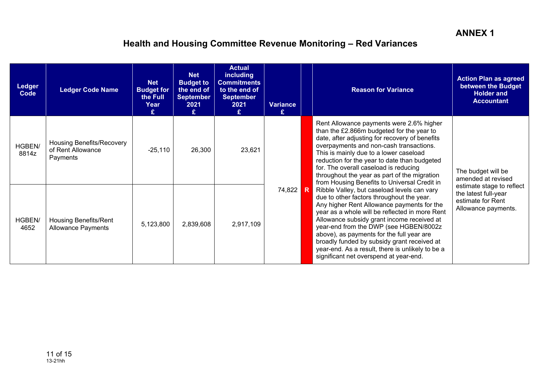| <b>Ledger</b><br>Code | <b>Ledger Code Name</b>                                           | <b>Net</b><br><b>Budget for</b><br>the Full<br>Year | <b>Net</b><br><b>Budget to</b><br>the end of<br>September<br>2021<br>£ | <b>Actual</b><br><b>including</b><br><b>Commitments</b><br>to the end of<br><b>September</b><br>2021<br>£ | <b>Variance</b><br>£ | <b>Reason for Variance</b>                                                                                                                                                                                                                                                                                                                                                                                                                                                 | <b>Action Plan as agreed</b><br>between the Budget<br><b>Holder and</b><br><b>Accountant</b>  |
|-----------------------|-------------------------------------------------------------------|-----------------------------------------------------|------------------------------------------------------------------------|-----------------------------------------------------------------------------------------------------------|----------------------|----------------------------------------------------------------------------------------------------------------------------------------------------------------------------------------------------------------------------------------------------------------------------------------------------------------------------------------------------------------------------------------------------------------------------------------------------------------------------|-----------------------------------------------------------------------------------------------|
| HGBEN/<br>8814z       | <b>Housing Benefits/Recovery</b><br>of Rent Allowance<br>Payments | $-25,110$                                           | 26,300                                                                 | 23,621                                                                                                    |                      | Rent Allowance payments were 2.6% higher<br>than the £2.866m budgeted for the year to<br>date, after adjusting for recovery of benefits<br>overpayments and non-cash transactions.<br>This is mainly due to a lower caseload<br>reduction for the year to date than budgeted<br>for. The overall caseload is reducing<br>throughout the year as part of the migration<br>from Housing Benefits to Universal Credit in                                                      | The budget will be<br>amended at revised                                                      |
| HGBEN/<br>4652        | <b>Housing Benefits/Rent</b><br><b>Allowance Payments</b>         | 5,123,800                                           | 2,839,608                                                              | 2,917,109                                                                                                 | 74,822 R             | Ribble Valley, but caseload levels can vary<br>due to other factors throughout the year.<br>Any higher Rent Allowance payments for the<br>year as a whole will be reflected in more Rent<br>Allowance subsidy grant income received at<br>year-end from the DWP (see HGBEN/8002z<br>above), as payments for the full year are<br>broadly funded by subsidy grant received at<br>year-end. As a result, there is unlikely to be a<br>significant net overspend at year-end. | estimate stage to reflect<br>the latest full-year<br>estimate for Rent<br>Allowance payments. |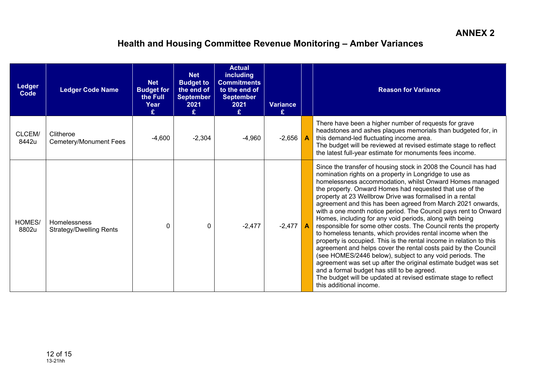| <b>Ledger</b><br><b>Code</b> | <b>Ledger Code Name</b>                               | <b>Net</b><br><b>Budget for</b><br>the Full<br>Year<br>£ | <b>Net</b><br><b>Budget to</b><br>the end of<br><b>September</b><br>2021<br>£ | <b>Actual</b><br><b>including</b><br><b>Commitments</b><br>to the end of<br><b>September</b><br>2021<br>£ | <b>Variance</b><br>£              | <b>Reason for Variance</b>                                                                                                                                                                                                                                                                                                                                                                                                                                                                                                                                                                                                                                                                                                                                                                                                                                                                                                                                                                                                                                       |
|------------------------------|-------------------------------------------------------|----------------------------------------------------------|-------------------------------------------------------------------------------|-----------------------------------------------------------------------------------------------------------|-----------------------------------|------------------------------------------------------------------------------------------------------------------------------------------------------------------------------------------------------------------------------------------------------------------------------------------------------------------------------------------------------------------------------------------------------------------------------------------------------------------------------------------------------------------------------------------------------------------------------------------------------------------------------------------------------------------------------------------------------------------------------------------------------------------------------------------------------------------------------------------------------------------------------------------------------------------------------------------------------------------------------------------------------------------------------------------------------------------|
| CLCEM/<br>8442u              | Clitheroe<br><b>Cemetery/Monument Fees</b>            | $-4,600$                                                 | $-2,304$                                                                      | $-4,960$                                                                                                  | $-2,656$ $\overline{\phantom{a}}$ | There have been a higher number of requests for grave<br>headstones and ashes plaques memorials than budgeted for, in<br>this demand-led fluctuating income area.<br>The budget will be reviewed at revised estimate stage to reflect<br>the latest full-year estimate for monuments fees income.                                                                                                                                                                                                                                                                                                                                                                                                                                                                                                                                                                                                                                                                                                                                                                |
| HOMES/<br>8802u              | <b>Homelessness</b><br><b>Strategy/Dwelling Rents</b> | 0                                                        | 0                                                                             | $-2,477$                                                                                                  | $-2,477$                          | Since the transfer of housing stock in 2008 the Council has had<br>nomination rights on a property in Longridge to use as<br>homelessness accommodation, whilst Onward Homes managed<br>the property. Onward Homes had requested that use of the<br>property at 23 Wellbrow Drive was formalised in a rental<br>agreement and this has been agreed from March 2021 onwards,<br>with a one month notice period. The Council pays rent to Onward<br>Homes, including for any void periods, along with being<br>responsible for some other costs. The Council rents the property<br>to homeless tenants, which provides rental income when the<br>property is occupied. This is the rental income in relation to this<br>agreement and helps cover the rental costs paid by the Council<br>(see HOMES/2446 below), subject to any void periods. The<br>agreement was set up after the original estimate budget was set<br>and a formal budget has still to be agreed.<br>The budget will be updated at revised estimate stage to reflect<br>this additional income. |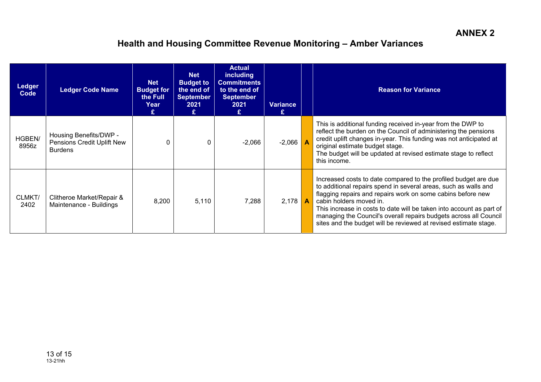| <b>Ledger</b><br>Code | <b>Ledger Code Name</b>                                                | <b>Net</b><br><b>Budget for</b><br>the Full<br>Year<br>£ | <b>Net</b><br><b>Budget to</b><br>the end of<br><b>September</b><br>2021<br>£ | <b>Actual</b><br><b>including</b><br><b>Commitments</b><br>to the end of<br><b>September</b><br>2021<br>£ | <b>Variance</b> | <b>Reason for Variance</b>                                                                                                                                                                                                                                                                                                                                                                                                                    |
|-----------------------|------------------------------------------------------------------------|----------------------------------------------------------|-------------------------------------------------------------------------------|-----------------------------------------------------------------------------------------------------------|-----------------|-----------------------------------------------------------------------------------------------------------------------------------------------------------------------------------------------------------------------------------------------------------------------------------------------------------------------------------------------------------------------------------------------------------------------------------------------|
| HGBEN/<br>8956z       | Housing Benefits/DWP -<br>Pensions Credit Uplift New<br><b>Burdens</b> |                                                          | 0                                                                             | $-2,066$                                                                                                  | $-2,066$        | This is additional funding received in-year from the DWP to<br>reflect the burden on the Council of administering the pensions<br>credit uplift changes in-year. This funding was not anticipated at<br>original estimate budget stage.<br>The budget will be updated at revised estimate stage to reflect<br>this income.                                                                                                                    |
| CLMKT/<br>2402        | Clitheroe Market/Repair &<br>Maintenance - Buildings                   | 8,200                                                    | 5,110                                                                         | 7,288                                                                                                     | $2,178$ $A$     | Increased costs to date compared to the profiled budget are due<br>to additional repairs spend in several areas, such as walls and<br>flagging repairs and repairs work on some cabins before new<br>cabin holders moved in.<br>This increase in costs to date will be taken into account as part of<br>managing the Council's overall repairs budgets across all Council<br>sites and the budget will be reviewed at revised estimate stage. |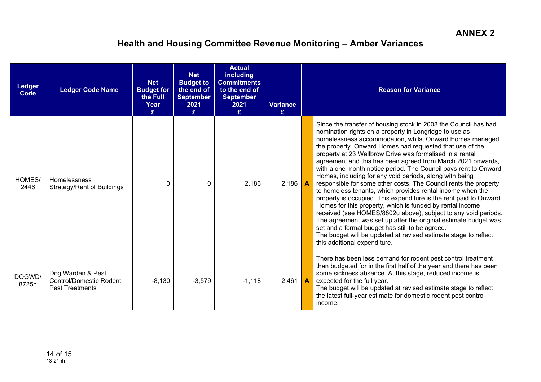| Ledger<br>Code  | <b>Ledger Code Name</b>                                                       | <b>Net</b><br><b>Budget for</b><br>the Full<br>Year<br>£ | <b>Net</b><br><b>Budget to</b><br>the end of<br><b>September</b><br>2021<br>£. | <b>Actual</b><br>including<br><b>Commitments</b><br>to the end of<br><b>September</b><br>2021<br>£. | <b>Variance</b><br>£ | <b>Reason for Variance</b>                                                                                                                                                                                                                                                                                                                                                                                                                                                                                                                                                                                                                                                                                                                                                                                                                                                                                                                                                                                                                                               |
|-----------------|-------------------------------------------------------------------------------|----------------------------------------------------------|--------------------------------------------------------------------------------|-----------------------------------------------------------------------------------------------------|----------------------|--------------------------------------------------------------------------------------------------------------------------------------------------------------------------------------------------------------------------------------------------------------------------------------------------------------------------------------------------------------------------------------------------------------------------------------------------------------------------------------------------------------------------------------------------------------------------------------------------------------------------------------------------------------------------------------------------------------------------------------------------------------------------------------------------------------------------------------------------------------------------------------------------------------------------------------------------------------------------------------------------------------------------------------------------------------------------|
| HOMES/<br>2446  | <b>Homelessness</b><br>Strategy/Rent of Buildings                             | ∩                                                        | $\Omega$                                                                       | 2,186                                                                                               | 2,186                | Since the transfer of housing stock in 2008 the Council has had<br>nomination rights on a property in Longridge to use as<br>homelessness accommodation, whilst Onward Homes managed<br>the property. Onward Homes had requested that use of the<br>property at 23 Wellbrow Drive was formalised in a rental<br>agreement and this has been agreed from March 2021 onwards,<br>with a one month notice period. The Council pays rent to Onward<br>Homes, including for any void periods, along with being<br>responsible for some other costs. The Council rents the property<br>to homeless tenants, which provides rental income when the<br>property is occupied. This expenditure is the rent paid to Onward<br>Homes for this property, which is funded by rental income<br>received (see HOMES/8802u above), subject to any void periods.<br>The agreement was set up after the original estimate budget was<br>set and a formal budget has still to be agreed.<br>The budget will be updated at revised estimate stage to reflect<br>this additional expenditure. |
| DOGWD/<br>8725n | Dog Warden & Pest<br><b>Control/Domestic Rodent</b><br><b>Pest Treatments</b> | $-8,130$                                                 | $-3,579$                                                                       | $-1,118$                                                                                            | 2,461                | There has been less demand for rodent pest control treatment<br>than budgeted for in the first half of the year and there has been<br>some sickness absence. At this stage, reduced income is<br>expected for the full year.<br>The budget will be updated at revised estimate stage to reflect<br>the latest full-year estimate for domestic rodent pest control<br>income.                                                                                                                                                                                                                                                                                                                                                                                                                                                                                                                                                                                                                                                                                             |